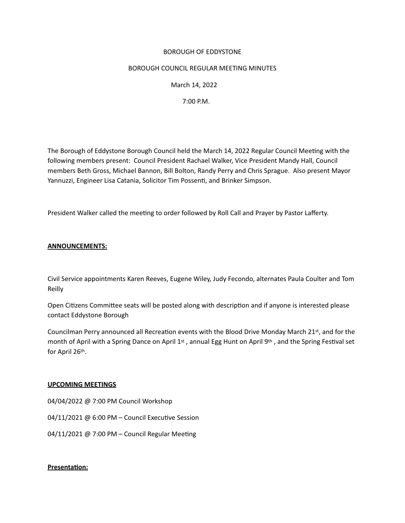## BOROUGH OF EDDYSTONE

## BOROUGH COUNCIL REGULAR MEETING MINUTES

 March 14, 2022

 7:00 P.M.

The Borough of Eddystone Borough Council held the March 14, 2022 Regular Council Meetng with the following members present: Council President Rachael Walker, Vice President Mandy Hall, Council members Beth Gross, Michael Bannon, Bill Bolton, Randy Perry and Chris Sprague. Also present Mayor Yannuzzi, Engineer Lisa Catania, Solicitor Tim Possent, and Brinker Simpson. 

President Walker called the meetng to order followed by Roll Call and Prayer by Pastor Lafferty. 

# **ANNOUNCEMENTS:**

Civil Service appointments Karen Reeves, Eugene Wiley, Judy Fecondo, alternates Paula Coulter and Tom Reilly

Open Citzens Commitee seats will be posted along with descripton and if anyone is interested please contact Eddystone Borough

Councilman Perry announced all Recreation events with the Blood Drive Monday March 21st, and for the month of April with a Spring Dance on April 1<sup>st</sup>, annual Egg Hunt on April 9<sup>th</sup>, and the Spring Festival set for April 26th.

#### **UPCOMING MEETINGS**

04/04/2022 @ 7:00 PM Council Workshop 

04/11/2021 @ 6:00 PM - Council Executive Session

04/11/2021 @ 7:00 PM – Council Regular Meeting

# **Presentaton:**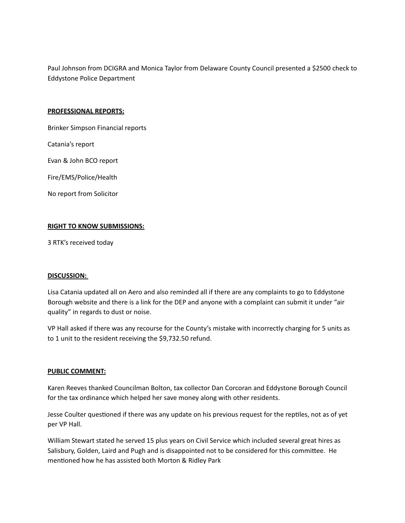Paul Johnson from DCIGRA and Monica Taylor from Delaware County Council presented a \$2500 check to Eddystone Police Department

#### **PROFESSIONAL REPORTS:**

Brinker Simpson Financial reports

Catania's report

Evan & John BCO report

Fire/EMS/Police/Health

No report from Solicitor

## **RIGHT TO KNOW SUBMISSIONS:**

3 RTK's received today

#### **DISCUSSION:**

Lisa Catania updated all on Aero and also reminded all if there are any complaints to go to Eddystone Borough website and there is a link for the DEP and anyone with a complaint can submit it under "air quality" in regards to dust or noise.

VP Hall asked if there was any recourse for the County's mistake with incorrectly charging for 5 units as to 1 unit to the resident receiving the \$9,732.50 refund.

#### **PUBLIC COMMENT:**

Karen Reeves thanked Councilman Bolton, tax collector Dan Corcoran and Eddystone Borough Council for the tax ordinance which helped her save money along with other residents.

Jesse Coulter questioned if there was any update on his previous request for the reptiles, not as of yet per VP Hall.

William Stewart stated he served 15 plus years on Civil Service which included several great hires as Salisbury, Golden, Laird and Pugh and is disappointed not to be considered for this committee. He mentioned how he has assisted both Morton & Ridley Park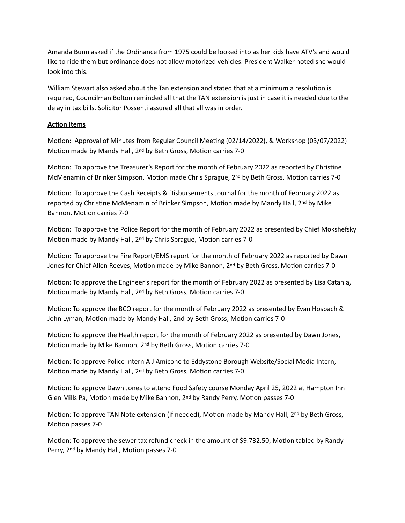Amanda Bunn asked if the Ordinance from 1975 could be looked into as her kids have ATV's and would like to ride them but ordinance does not allow motorized vehicles. President Walker noted she would look into this.

William Stewart also asked about the Tan extension and stated that at a minimum a resoluton is required, Councilman Bolton reminded all that the TAN extension is just in case it is needed due to the delay in tax bills. Solicitor Possenti assured all that all was in order.

# **Acton Items**

Motion: Approval of Minutes from Regular Council Meeting (02/14/2022), & Workshop (03/07/2022) Motion made by Mandy Hall, 2<sup>nd</sup> by Beth Gross, Motion carries 7-0

Motion: To approve the Treasurer's Report for the month of February 2022 as reported by Christine McMenamin of Brinker Simpson, Motion made Chris Sprague, 2<sup>nd</sup> by Beth Gross, Motion carries 7-0

Motion: To approve the Cash Receipts & Disbursements Journal for the month of February 2022 as reported by Christine McMenamin of Brinker Simpson, Motion made by Mandy Hall, 2<sup>nd</sup> by Mike Bannon, Motion carries 7-0

Motion: To approve the Police Report for the month of February 2022 as presented by Chief Mokshefsky Motion made by Mandy Hall, 2<sup>nd</sup> by Chris Sprague, Motion carries 7-0

Motion: To approve the Fire Report/EMS report for the month of February 2022 as reported by Dawn Jones for Chief Allen Reeves, Motion made by Mike Bannon, 2<sup>nd</sup> by Beth Gross, Motion carries 7-0

Motion: To approve the Engineer's report for the month of February 2022 as presented by Lisa Catania, Motion made by Mandy Hall, 2<sup>nd</sup> by Beth Gross, Motion carries 7-0

Motion: To approve the BCO report for the month of February 2022 as presented by Evan Hosbach & John Lyman, Motion made by Mandy Hall, 2nd by Beth Gross, Motion carries 7-0

Motion: To approve the Health report for the month of February 2022 as presented by Dawn Jones, Motion made by Mike Bannon, 2<sup>nd</sup> by Beth Gross, Motion carries 7-0

Motion: To approve Police Intern A J Amicone to Eddystone Borough Website/Social Media Intern, Motion made by Mandy Hall, 2<sup>nd</sup> by Beth Gross, Motion carries 7-0

Motion: To approve Dawn Jones to attend Food Safety course Monday April 25, 2022 at Hampton Inn Glen Mills Pa, Motion made by Mike Bannon,  $2^{nd}$  by Randy Perry, Motion passes 7-0

Motion: To approve TAN Note extension (if needed), Motion made by Mandy Hall, 2<sup>nd</sup> by Beth Gross, Motion passes 7-0

Motion: To approve the sewer tax refund check in the amount of \$9.732.50, Motion tabled by Randy Perry, 2<sup>nd</sup> by Mandy Hall, Motion passes 7-0